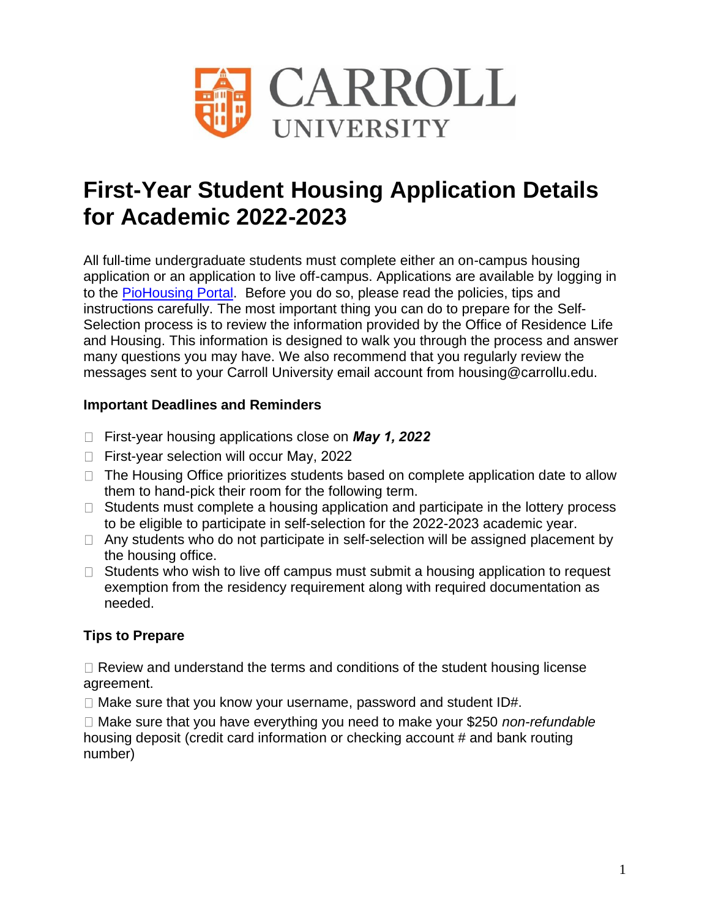

# **First-Year Student Housing Application Details for Academic 2022-2023**

All full-time undergraduate students must complete either an on-campus housing application or an application to live off-campus. Applications are available by logging in to the [PioHousing Portal.](https://carrollu.starrezhousing.com/StarRezPortal/InitiateLogin/StarNet.Core.AuthProviders.Shibboleth) Before you do so, please read the policies, tips and instructions carefully. The most important thing you can do to prepare for the Self-Selection process is to review the information provided by the Office of Residence Life and Housing. This information is designed to walk you through the process and answer many questions you may have. We also recommend that you regularly review the messages sent to your Carroll University email account from housing@carrollu.edu.

# **Important Deadlines and Reminders**

- First-year housing applications close on *May 1, 2022*
- □ First-year selection will occur May, 2022
- $\Box$  The Housing Office prioritizes students based on complete application date to allow them to hand-pick their room for the following term.
- $\Box$  Students must complete a housing application and participate in the lottery process to be eligible to participate in self-selection for the 2022-2023 academic year.
- $\Box$  Any students who do not participate in self-selection will be assigned placement by the housing office.
- $\Box$  Students who wish to live off campus must submit a housing application to request exemption from the residency requirement along with required documentation as needed.

# **Tips to Prepare**

 $\Box$  Review and understand the terms and conditions of the student housing license agreement.

 $\Box$  Make sure that you know your username, password and student ID#.

□ Make sure that you have everything you need to make your \$250 *non-refundable* housing deposit (credit card information or checking account # and bank routing number)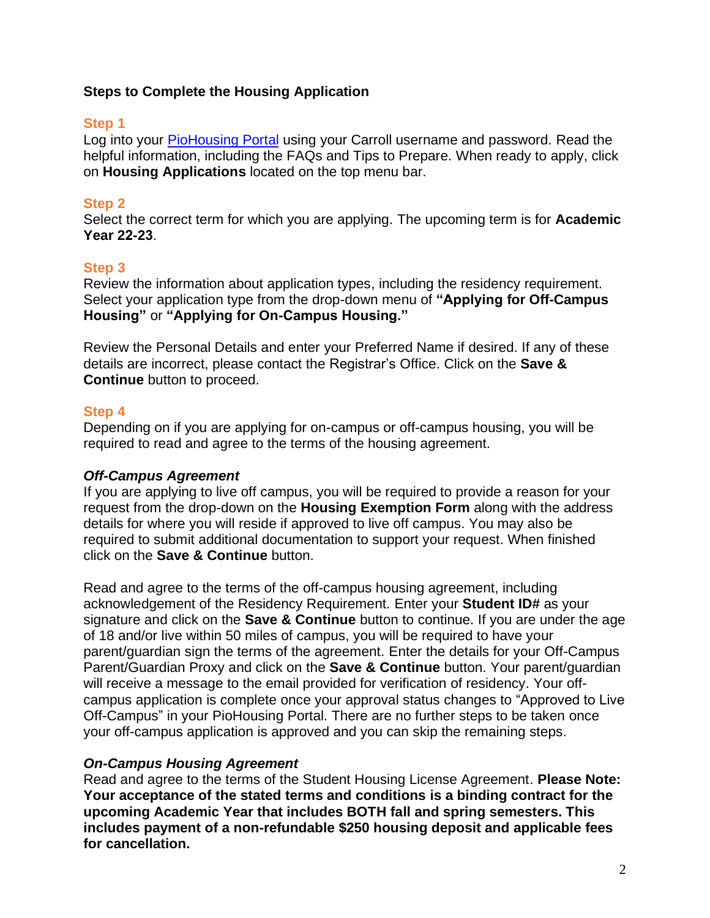#### **Steps to Complete the Housing Application**

#### **Step 1**

Log into you[r PioHousing Portal](https://carrollu.starrezhousing.com/StarRezPortal/InitiateLogin/StarNet.Core.AuthProviders.Shibboleth) using your Carroll username and password. Read the helpful information, including the FAQs and Tips to Prepare. When ready to apply, click on **Housing Applications** located on the top menu bar.

### **Step 2**

Select the correct term for which you are applying. The upcoming term is for **Academic Year 22-23**.

# **Step 3**

Review the information about application types, including the residency requirement. Select your application type from the drop-down menu of **"Applying for Off-Campus Housing"** or **"Applying for On-Campus Housing."** 

Review the Personal Details and enter your Preferred Name if desired. If any of these details are incorrect, please contact the Registrar's Office. Click on the **Save & Continue** button to proceed.

# **Step 4**

Depending on if you are applying for on-campus or off-campus housing, you will be required to read and agree to the terms of the housing agreement.

# *Off-Campus Agreement*

If you are applying to live off campus, you will be required to provide a reason for your request from the drop-down on the **Housing Exemption Form** along with the address details for where you will reside if approved to live off campus. You may also be required to submit additional documentation to support your request. When finished click on the **Save & Continue** button.

Read and agree to the terms of the off-campus housing agreement, including acknowledgement of the Residency Requirement. Enter your **Student ID#** as your signature and click on the **Save & Continue** button to continue. If you are under the age of 18 and/or live within 50 miles of campus, you will be required to have your parent/guardian sign the terms of the agreement. Enter the details for your Off-Campus Parent/Guardian Proxy and click on the **Save & Continue** button. Your parent/guardian will receive a message to the email provided for verification of residency. Your offcampus application is complete once your approval status changes to "Approved to Live Off-Campus" in your PioHousing Portal. There are no further steps to be taken once your off-campus application is approved and you can skip the remaining steps.

#### *On-Campus Housing Agreement*

Read and agree to the terms of the Student Housing License Agreement. **Please Note: Your acceptance of the stated terms and conditions is a binding contract for the upcoming Academic Year that includes BOTH fall and spring semesters. This includes payment of a non-refundable \$250 housing deposit and applicable fees for cancellation.**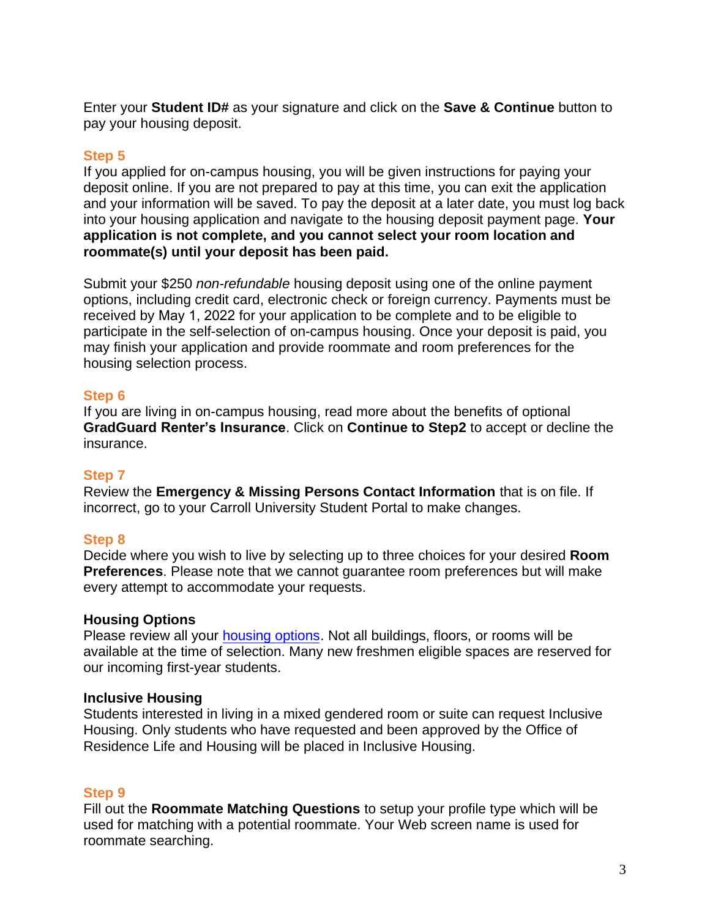Enter your **Student ID#** as your signature and click on the **Save & Continue** button to pay your housing deposit.

# **Step 5**

If you applied for on-campus housing, you will be given instructions for paying your deposit online. If you are not prepared to pay at this time, you can exit the application and your information will be saved. To pay the deposit at a later date, you must log back into your housing application and navigate to the housing deposit payment page. **Your application is not complete, and you cannot select your room location and roommate(s) until your deposit has been paid.** 

Submit your \$250 *non-refundable* housing deposit using one of the online payment options, including credit card, electronic check or foreign currency. Payments must be received by May 1, 2022 for your application to be complete and to be eligible to participate in the self-selection of on-campus housing. Once your deposit is paid, you may finish your application and provide roommate and room preferences for the housing selection process.

#### **Step 6**

If you are living in on-campus housing, read more about the benefits of optional **GradGuard Renter's Insurance**. Click on **Continue to Step2** to accept or decline the insurance.

# **Step 7**

Review the **Emergency & Missing Persons Contact Information** that is on file. If incorrect, go to your Carroll University Student Portal to make changes.

# **Step 8**

Decide where you wish to live by selecting up to three choices for your desired **Room Preferences**. Please note that we cannot guarantee room preferences but will make every attempt to accommodate your requests.

# **Housing Options**

Please review all your [housing options.](https://www.carrollu.edu/campus-student-life/housing) Not all buildings, floors, or rooms will be available at the time of selection. Many new freshmen eligible spaces are reserved for our incoming first-year students.

#### **Inclusive Housing**

Students interested in living in a mixed gendered room or suite can request Inclusive Housing. Only students who have requested and been approved by the Office of Residence Life and Housing will be placed in Inclusive Housing.

# **Step 9**

Fill out the **Roommate Matching Questions** to setup your profile type which will be used for matching with a potential roommate. Your Web screen name is used for roommate searching.